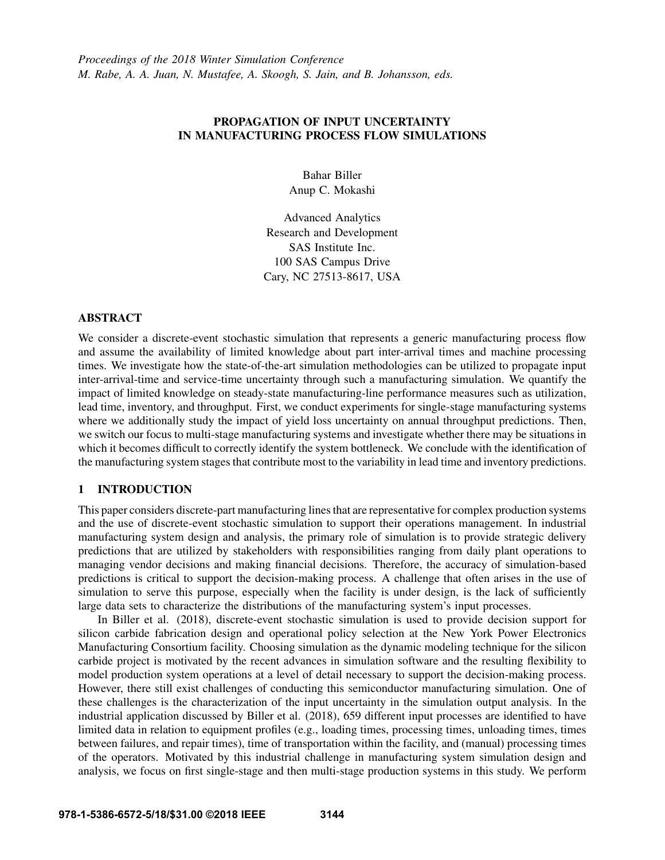## PROPAGATION OF INPUT UNCERTAINTY IN MANUFACTURING PROCESS FLOW SIMULATIONS

Bahar Biller Anup C. Mokashi

Advanced Analytics Research and Development SAS Institute Inc. 100 SAS Campus Drive Cary, NC 27513-8617, USA

## ABSTRACT

We consider a discrete-event stochastic simulation that represents a generic manufacturing process flow and assume the availability of limited knowledge about part inter-arrival times and machine processing times. We investigate how the state-of-the-art simulation methodologies can be utilized to propagate input inter-arrival-time and service-time uncertainty through such a manufacturing simulation. We quantify the impact of limited knowledge on steady-state manufacturing-line performance measures such as utilization, lead time, inventory, and throughput. First, we conduct experiments for single-stage manufacturing systems where we additionally study the impact of yield loss uncertainty on annual throughput predictions. Then, we switch our focus to multi-stage manufacturing systems and investigate whether there may be situations in which it becomes difficult to correctly identify the system bottleneck. We conclude with the identification of the manufacturing system stages that contribute most to the variability in lead time and inventory predictions.

# 1 INTRODUCTION

This paper considers discrete-part manufacturing lines that are representative for complex production systems and the use of discrete-event stochastic simulation to support their operations management. In industrial manufacturing system design and analysis, the primary role of simulation is to provide strategic delivery predictions that are utilized by stakeholders with responsibilities ranging from daily plant operations to managing vendor decisions and making financial decisions. Therefore, the accuracy of simulation-based predictions is critical to support the decision-making process. A challenge that often arises in the use of simulation to serve this purpose, especially when the facility is under design, is the lack of sufficiently large data sets to characterize the distributions of the manufacturing system's input processes.

In Biller et al. (2018), discrete-event stochastic simulation is used to provide decision support for silicon carbide fabrication design and operational policy selection at the New York Power Electronics Manufacturing Consortium facility. Choosing simulation as the dynamic modeling technique for the silicon carbide project is motivated by the recent advances in simulation software and the resulting flexibility to model production system operations at a level of detail necessary to support the decision-making process. However, there still exist challenges of conducting this semiconductor manufacturing simulation. One of these challenges is the characterization of the input uncertainty in the simulation output analysis. In the industrial application discussed by Biller et al. (2018), 659 different input processes are identified to have limited data in relation to equipment profiles (e.g., loading times, processing times, unloading times, times between failures, and repair times), time of transportation within the facility, and (manual) processing times of the operators. Motivated by this industrial challenge in manufacturing system simulation design and analysis, we focus on first single-stage and then multi-stage production systems in this study. We perform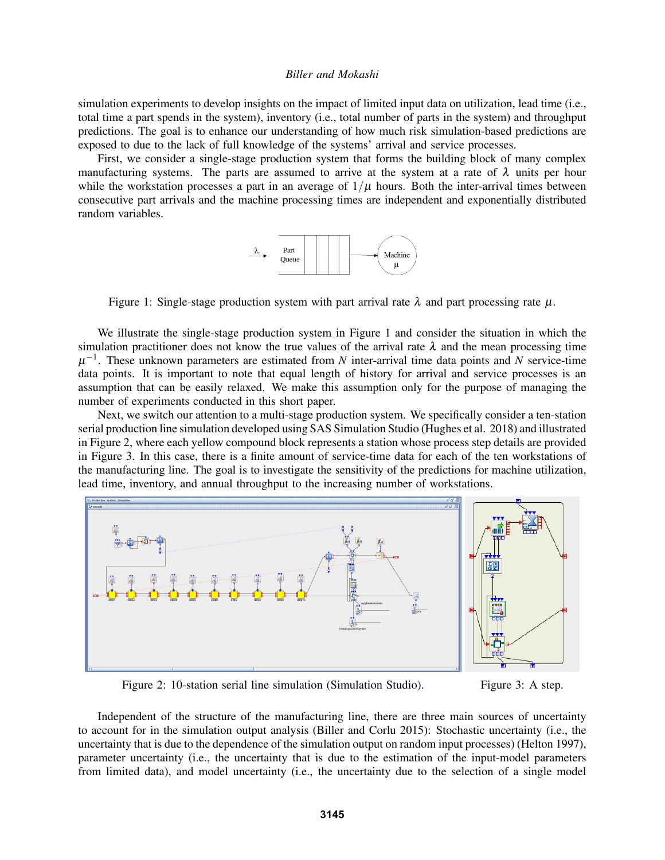simulation experiments to develop insights on the impact of limited input data on utilization, lead time (i.e., total time a part spends in the system), inventory (i.e., total number of parts in the system) and throughput predictions. The goal is to enhance our understanding of how much risk simulation-based predictions are exposed to due to the lack of full knowledge of the systems' arrival and service processes.

First, we consider a single-stage production system that forms the building block of many complex manufacturing systems. The parts are assumed to arrive at the system at a rate of  $\lambda$  units per hour while the workstation processes a part in an average of  $1/\mu$  hours. Both the inter-arrival times between consecutive part arrivals and the machine processing times are independent and exponentially distributed random variables.



Figure 1: Single-stage production system with part arrival rate  $\lambda$  and part processing rate  $\mu$ .

We illustrate the single-stage production system in Figure 1 and consider the situation in which the simulation practitioner does not know the true values of the arrival rate  $\lambda$  and the mean processing time  $\mu^{-1}$ . These unknown parameters are estimated from *N* inter-arrival time data points and *N* service-time data points. It is important to note that equal length of history for arrival and service processes is an assumption that can be easily relaxed. We make this assumption only for the purpose of managing the number of experiments conducted in this short paper.

Next, we switch our attention to a multi-stage production system. We specifically consider a ten-station serial production line simulation developed using SAS Simulation Studio (Hughes et al. 2018) and illustrated in Figure 2, where each yellow compound block represents a station whose process step details are provided in Figure 3. In this case, there is a finite amount of service-time data for each of the ten workstations of the manufacturing line. The goal is to investigate the sensitivity of the predictions for machine utilization, lead time, inventory, and annual throughput to the increasing number of workstations.



Figure 2: 10-station serial line simulation (Simulation Studio). Figure 3: A step.

Independent of the structure of the manufacturing line, there are three main sources of uncertainty to account for in the simulation output analysis (Biller and Corlu 2015): Stochastic uncertainty (i.e., the uncertainty that is due to the dependence of the simulation output on random input processes) (Helton 1997), parameter uncertainty (i.e., the uncertainty that is due to the estimation of the input-model parameters from limited data), and model uncertainty (i.e., the uncertainty due to the selection of a single model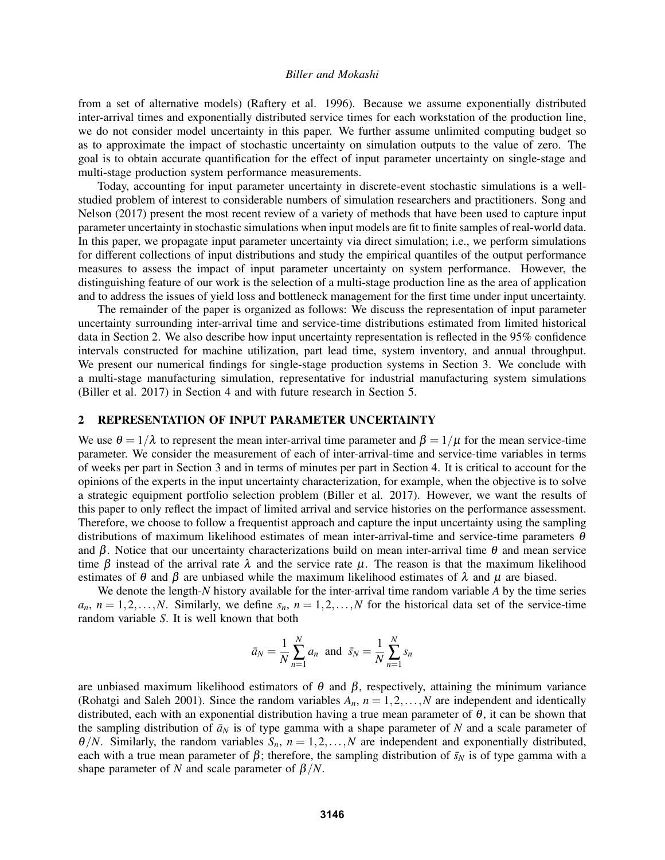from a set of alternative models) (Raftery et al. 1996). Because we assume exponentially distributed inter-arrival times and exponentially distributed service times for each workstation of the production line, we do not consider model uncertainty in this paper. We further assume unlimited computing budget so as to approximate the impact of stochastic uncertainty on simulation outputs to the value of zero. The goal is to obtain accurate quantification for the effect of input parameter uncertainty on single-stage and multi-stage production system performance measurements.

Today, accounting for input parameter uncertainty in discrete-event stochastic simulations is a wellstudied problem of interest to considerable numbers of simulation researchers and practitioners. Song and Nelson (2017) present the most recent review of a variety of methods that have been used to capture input parameter uncertainty in stochastic simulations when input models are fit to finite samples of real-world data. In this paper, we propagate input parameter uncertainty via direct simulation; i.e., we perform simulations for different collections of input distributions and study the empirical quantiles of the output performance measures to assess the impact of input parameter uncertainty on system performance. However, the distinguishing feature of our work is the selection of a multi-stage production line as the area of application and to address the issues of yield loss and bottleneck management for the first time under input uncertainty.

The remainder of the paper is organized as follows: We discuss the representation of input parameter uncertainty surrounding inter-arrival time and service-time distributions estimated from limited historical data in Section 2. We also describe how input uncertainty representation is reflected in the 95% confidence intervals constructed for machine utilization, part lead time, system inventory, and annual throughput. We present our numerical findings for single-stage production systems in Section 3. We conclude with a multi-stage manufacturing simulation, representative for industrial manufacturing system simulations (Biller et al. 2017) in Section 4 and with future research in Section 5.

### 2 REPRESENTATION OF INPUT PARAMETER UNCERTAINTY

We use  $\theta = 1/\lambda$  to represent the mean inter-arrival time parameter and  $\beta = 1/\mu$  for the mean service-time parameter. We consider the measurement of each of inter-arrival-time and service-time variables in terms of weeks per part in Section 3 and in terms of minutes per part in Section 4. It is critical to account for the opinions of the experts in the input uncertainty characterization, for example, when the objective is to solve a strategic equipment portfolio selection problem (Biller et al. 2017). However, we want the results of this paper to only reflect the impact of limited arrival and service histories on the performance assessment. Therefore, we choose to follow a frequentist approach and capture the input uncertainty using the sampling distributions of maximum likelihood estimates of mean inter-arrival-time and service-time parameters  $\theta$ and  $\beta$ . Notice that our uncertainty characterizations build on mean inter-arrival time  $\theta$  and mean service time  $\beta$  instead of the arrival rate  $\lambda$  and the service rate  $\mu$ . The reason is that the maximum likelihood estimates of  $\theta$  and  $\beta$  are unbiased while the maximum likelihood estimates of  $\lambda$  and  $\mu$  are biased.

We denote the length-*N* history available for the inter-arrival time random variable *A* by the time series  $a_n$ ,  $n = 1, 2, \ldots, N$ . Similarly, we define  $s_n$ ,  $n = 1, 2, \ldots, N$  for the historical data set of the service-time random variable *S*. It is well known that both

$$
\bar{a}_N = \frac{1}{N} \sum_{n=1}^N a_n
$$
 and  $\bar{s}_N = \frac{1}{N} \sum_{n=1}^N s_n$ 

are unbiased maximum likelihood estimators of  $\theta$  and  $\beta$ , respectively, attaining the minimum variance (Rohatgi and Saleh 2001). Since the random variables  $A_n$ ,  $n = 1, 2, \ldots, N$  are independent and identically distributed, each with an exponential distribution having a true mean parameter of  $\theta$ , it can be shown that the sampling distribution of  $\bar{a}_N$  is of type gamma with a shape parameter of *N* and a scale parameter of  $\theta/N$ . Similarly, the random variables  $S_n$ ,  $n = 1, 2, ..., N$  are independent and exponentially distributed, each with a true mean parameter of  $\beta$ ; therefore, the sampling distribution of  $\bar{s}_N$  is of type gamma with a shape parameter of *N* and scale parameter of  $\beta/N$ .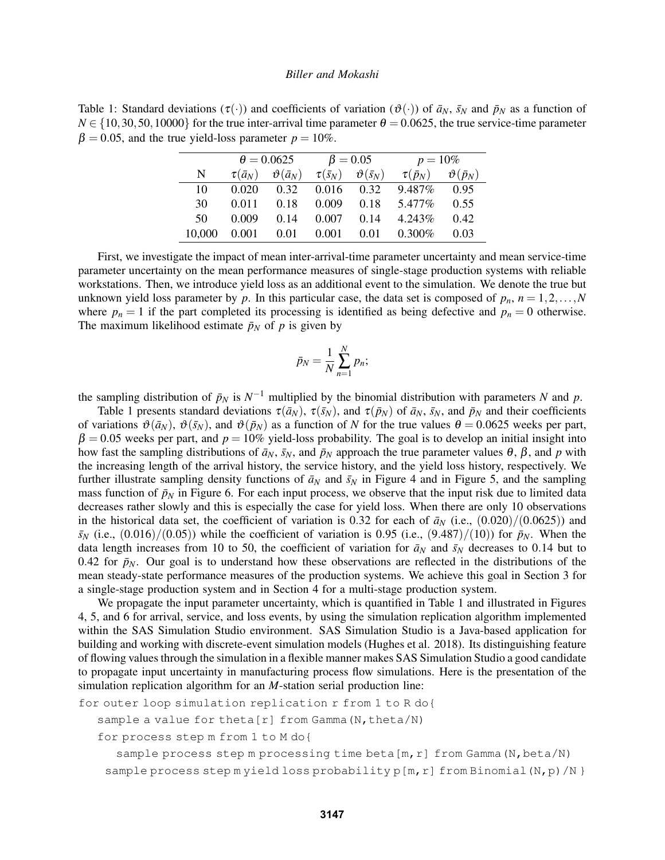Table 1: Standard deviations  $(\tau(\cdot))$  and coefficients of variation  $(\vartheta(\cdot))$  of  $\bar{a}_N$ ,  $\bar{s}_N$  and  $\bar{p}_N$  as a function of  $N \in \{10, 30, 50, 10000\}$  for the true inter-arrival time parameter  $\theta = 0.0625$ , the true service-time parameter  $\beta = 0.05$ , and the true yield-loss parameter  $p = 10\%$ .

|        | $\theta = 0.0625$ |                        |                     | $\beta = 0.05$           | $p = 10\%$        |                        |  |
|--------|-------------------|------------------------|---------------------|--------------------------|-------------------|------------------------|--|
| N      | $\tau(\bar{a}_N)$ | $\vartheta(\bar{a}_N)$ | $\tau(\bar{s_{N}})$ | $\vartheta(\bar{s}_{N})$ | $\tau(\bar{p}_N)$ | $\vartheta(\bar{p}_N)$ |  |
| 10     | 0.020             | 0.32                   | 0.016               | 0.32                     | $9.487\%$         | 0.95                   |  |
| 30     | 0.011             | 0.18                   | 0.009               | 0.18                     | 5.477%            | 0.55                   |  |
| 50     | 0.009             | 0.14                   | 0.007               | 0.14                     | 4.243\%           | 0.42                   |  |
| 10.000 | 0.001             | 0.01                   | 0.001               | 0.01                     | $0.300\%$         | 0.03                   |  |

First, we investigate the impact of mean inter-arrival-time parameter uncertainty and mean service-time parameter uncertainty on the mean performance measures of single-stage production systems with reliable workstations. Then, we introduce yield loss as an additional event to the simulation. We denote the true but unknown yield loss parameter by *p*. In this particular case, the data set is composed of  $p_n$ ,  $n = 1, 2, \ldots, N$ where  $p_n = 1$  if the part completed its processing is identified as being defective and  $p_n = 0$  otherwise. The maximum likelihood estimate  $\bar{p}_N$  of p is given by

$$
\bar{p}_N = \frac{1}{N} \sum_{n=1}^N p_n;
$$

the sampling distribution of  $\bar{p}_N$  is  $N^{-1}$  multiplied by the binomial distribution with parameters *N* and *p*.

Table 1 presents standard deviations  $\tau(\bar{a}_N)$ ,  $\tau(\bar{s}_N)$ , and  $\tau(\bar{p}_N)$  of  $\bar{a}_N$ ,  $\bar{s}_N$ , and  $\bar{p}_N$  and their coefficients of variations  $\vartheta(\bar{a}_N)$ ,  $\vartheta(\bar{s}_N)$ , and  $\vartheta(\bar{p}_N)$  as a function of *N* for the true values  $\theta = 0.0625$  weeks per part,  $\beta = 0.05$  weeks per part, and  $p = 10\%$  yield-loss probability. The goal is to develop an initial insight into how fast the sampling distributions of  $\bar{a}_N$ ,  $\bar{s}_N$ , and  $\bar{p}_N$  approach the true parameter values  $\theta$ ,  $\beta$ , and  $p$  with the increasing length of the arrival history, the service history, and the yield loss history, respectively. We further illustrate sampling density functions of  $\bar{a}_N$  and  $\bar{s}_N$  in Figure 4 and in Figure 5, and the sampling mass function of  $\bar{p}_N$  in Figure 6. For each input process, we observe that the input risk due to limited data decreases rather slowly and this is especially the case for yield loss. When there are only 10 observations in the historical data set, the coefficient of variation is 0.32 for each of  $\bar{a}_N$  (i.e.,  $(0.020)/(0.0625)$ ) and  $\bar{s}_N$  (i.e., (0.016)/(0.05)) while the coefficient of variation is 0.95 (i.e., (9.487)/(10)) for  $\bar{p}_N$ . When the data length increases from 10 to 50, the coefficient of variation for  $\bar{a}_N$  and  $\bar{s}_N$  decreases to 0.14 but to 0.42 for  $\bar{p}_N$ . Our goal is to understand how these observations are reflected in the distributions of the mean steady-state performance measures of the production systems. We achieve this goal in Section 3 for a single-stage production system and in Section 4 for a multi-stage production system.

We propagate the input parameter uncertainty, which is quantified in Table 1 and illustrated in Figures 4, 5, and 6 for arrival, service, and loss events, by using the simulation replication algorithm implemented within the SAS Simulation Studio environment. SAS Simulation Studio is a Java-based application for building and working with discrete-event simulation models (Hughes et al. 2018). Its distinguishing feature of flowing values through the simulation in a flexible manner makes SAS Simulation Studio a good candidate to propagate input uncertainty in manufacturing process flow simulations. Here is the presentation of the simulation replication algorithm for an *M*-station serial production line:

```
for outer loop simulation replication r from 1 to R do{
```
sample a value for theta[r] from Gamma (N, theta/N)

for process step m from 1 to M do{

sample process step m processing time beta  $[m,r]$  from Gamma  $(N,beta/N)$ sample process step m yield loss probability p[m, r] from Binomial  $(N, p) / N$  }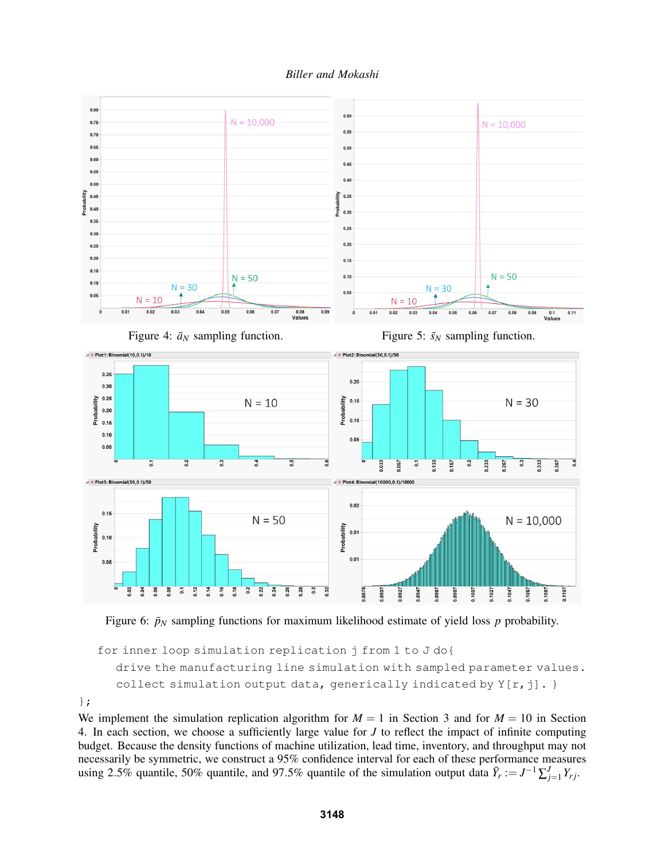



Figure 6:  $\bar{p}_N$  sampling functions for maximum likelihood estimate of yield loss  $p$  probability.

```
for inner loop simulation replication j from 1 to J do{
drive the manufacturing line simulation with sampled parameter values.
collect simulation output data, generically indicated by Y[r, j]. }
```
};

We implement the simulation replication algorithm for  $M = 1$  in Section 3 and for  $M = 10$  in Section 4. In each section, we choose a sufficiently large value for *J* to reflect the impact of infinite computing budget. Because the density functions of machine utilization, lead time, inventory, and throughput may not necessarily be symmetric, we construct a 95% confidence interval for each of these performance measures using 2.5% quantile, 50% quantile, and 97.5% quantile of the simulation output data  $\bar{Y}_r := J^{-1} \sum_{j=1}^J Y_{rj}$ .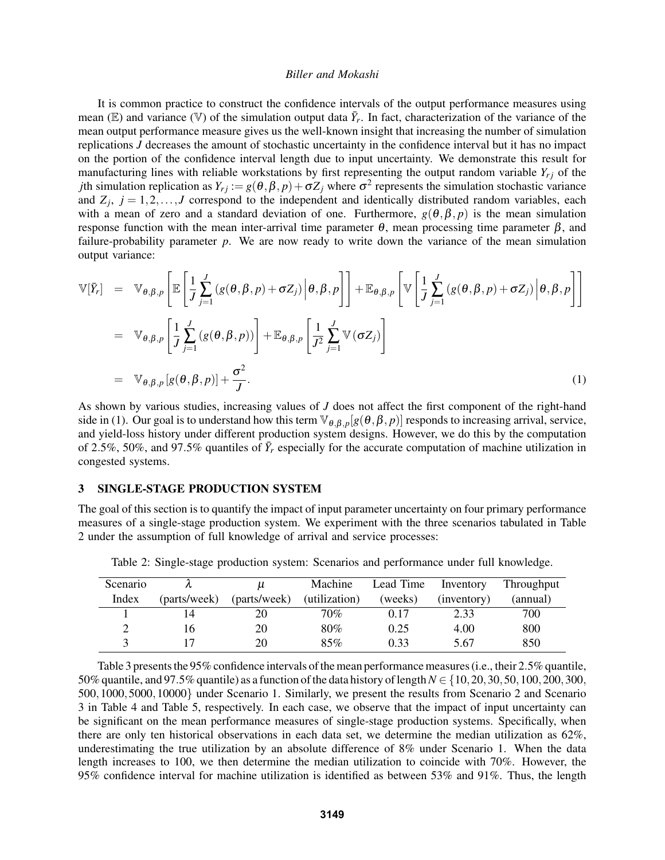It is common practice to construct the confidence intervals of the output performance measures using mean (E) and variance (V) of the simulation output data  $\bar{Y}_r$ . In fact, characterization of the variance of the mean output performance measure gives us the well-known insight that increasing the number of simulation replications *J* decreases the amount of stochastic uncertainty in the confidence interval but it has no impact on the portion of the confidence interval length due to input uncertainty. We demonstrate this result for manufacturing lines with reliable workstations by first representing the output random variable  $Y_{r,i}$  of the *j*th simulation replication as  $Y_{rj} := g(\theta, \beta, p) + \sigma Z_j$  where  $\sigma^2$  represents the simulation stochastic variance and  $Z_j$ ,  $j = 1, 2, \ldots, J$  correspond to the independent and identically distributed random variables, each with a mean of zero and a standard deviation of one. Furthermore,  $g(\theta, \beta, p)$  is the mean simulation response function with the mean inter-arrival time parameter  $θ$ , mean processing time parameter  $β$ , and failure-probability parameter *p*. We are now ready to write down the variance of the mean simulation output variance:

$$
\mathbb{V}[\bar{Y}_r] = \mathbb{V}_{\theta,\beta,p} \left[ \mathbb{E} \left[ \frac{1}{J} \sum_{j=1}^J (g(\theta,\beta,p) + \sigma Z_j) \Big| \theta, \beta, p \right] \right] + \mathbb{E}_{\theta,\beta,p} \left[ \mathbb{V} \left[ \frac{1}{J} \sum_{j=1}^J (g(\theta,\beta,p) + \sigma Z_j) \Big| \theta, \beta, p \right] \right]
$$
  
\n
$$
= \mathbb{V}_{\theta,\beta,p} \left[ \frac{1}{J} \sum_{j=1}^J (g(\theta,\beta,p)) \right] + \mathbb{E}_{\theta,\beta,p} \left[ \frac{1}{J^2} \sum_{j=1}^J \mathbb{V} (\sigma Z_j) \right]
$$
  
\n
$$
= \mathbb{V}_{\theta,\beta,p} [g(\theta,\beta,p)] + \frac{\sigma^2}{J}.
$$
 (1)

As shown by various studies, increasing values of *J* does not affect the first component of the right-hand side in (1). Our goal is to understand how this term  $\mathbb{V}_{\theta,\beta,p}[g(\theta,\beta,p)]$  responds to increasing arrival, service, and yield-loss history under different production system designs. However, we do this by the computation of 2.5%, 50%, and 97.5% quantiles of  $\bar{Y}_r$  especially for the accurate computation of machine utilization in congested systems.

### 3 SINGLE-STAGE PRODUCTION SYSTEM

The goal of this section is to quantify the impact of input parameter uncertainty on four primary performance measures of a single-stage production system. We experiment with the three scenarios tabulated in Table 2 under the assumption of full knowledge of arrival and service processes:

| Scenario |              | u            | Machine       | Lead Time | Inventory   | Throughput |
|----------|--------------|--------------|---------------|-----------|-------------|------------|
| Index    | (parts/week) | (parts/week) | (utilization) | (weeks)   | (inventory) | (annual)   |
|          |              | 20           | $70\%$        | 0.17      | 2.33        | 700        |
|          | 16           | 20           | 80%           | 0.25      | 4.00        | 800        |
|          |              | 20           | 85%           | 0.33      | 5.67        | 850        |

Table 2: Single-stage production system: Scenarios and performance under full knowledge.

Table 3 presents the 95% confidence intervals of the mean performance measures (i.e., their 2.5% quantile, 50% quantile, and 97.5% quantile) as a function of the data history of length*N* ∈ {10,20,30,50,100,200,300, 500,1000,5000,10000} under Scenario 1. Similarly, we present the results from Scenario 2 and Scenario 3 in Table 4 and Table 5, respectively. In each case, we observe that the impact of input uncertainty can be significant on the mean performance measures of single-stage production systems. Specifically, when there are only ten historical observations in each data set, we determine the median utilization as 62%, underestimating the true utilization by an absolute difference of 8% under Scenario 1. When the data length increases to 100, we then determine the median utilization to coincide with 70%. However, the 95% confidence interval for machine utilization is identified as between 53% and 91%. Thus, the length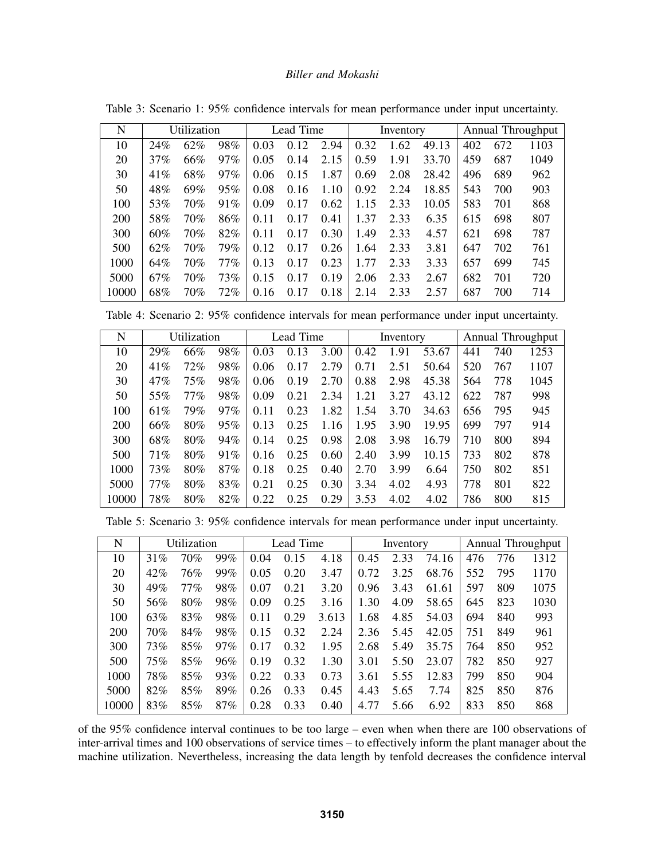| N          | Utilization |     |        | Lead Time |                 |      |      | Inventory |       |     | <b>Annual Throughput</b> |      |  |
|------------|-------------|-----|--------|-----------|-----------------|------|------|-----------|-------|-----|--------------------------|------|--|
| 10         | 24%         | 62% | 98%    | 0.03      | 0.12            | 2.94 | 0.32 | 1.62      | 49.13 | 402 | 672                      | 1103 |  |
| 20         | 37%         | 66% | $97\%$ | 0.05      | 0.14            | 2.15 | 0.59 | 1.91      | 33.70 | 459 | 687                      | 1049 |  |
| 30         | 41%         | 68% | $97\%$ | 0.06      | 0.15            | 1.87 | 0.69 | 2.08      | 28.42 | 496 | 689                      | 962  |  |
| 50         | 48%         | 69% | 95%    | 0.08      | 0.16            | 1.10 | 0.92 | 2.24      | 18.85 | 543 | 700                      | 903  |  |
| 100        | 53%         | 70% | 91%    | 0.09      | 0.17            | 0.62 | 1.15 | 2.33      | 10.05 | 583 | 701                      | 868  |  |
| <b>200</b> | 58%         | 70% | 86%    | 0.11      | 0.17            | 0.41 | 1.37 | 2.33      | 6.35  | 615 | 698                      | 807  |  |
| 300        | 60%         | 70% | 82%    | 0.11      | 0.17            | 0.30 | 1.49 | 2.33      | 4.57  | 621 | 698                      | 787  |  |
| 500        | 62%         | 70% | 79%    | 0.12      | 0.17            | 0.26 | 1.64 | 2.33      | 3.81  | 647 | 702                      | 761  |  |
| 1000       | 64%         | 70% | $77\%$ | 0.13      | 0.17            | 0.23 | 1.77 | 2.33      | 3.33  | 657 | 699                      | 745  |  |
| 5000       | 67%         | 70% | 73%    | 0.15      | .17<br>$\theta$ | 0.19 | 2.06 | 2.33      | 2.67  | 682 | 701                      | 720  |  |
| 10000      | 68%         | 70% | 72%    | 0.16      | .17<br>$\theta$ | 0.18 | 2.14 | 2.33      | 2.57  | 687 | 700                      | 714  |  |

Table 3: Scenario 1: 95% confidence intervals for mean performance under input uncertainty.

Table 4: Scenario 2: 95% confidence intervals for mean performance under input uncertainty.

|            | Utilization |     |     |           |      |      |           |      |       |                          |     |      |
|------------|-------------|-----|-----|-----------|------|------|-----------|------|-------|--------------------------|-----|------|
| N          |             |     |     | Lead Time |      |      | Inventory |      |       | <b>Annual Throughput</b> |     |      |
| 10         | 29%         | 66% | 98% | 0.03      | 0.13 | 3.00 | 0.42      | 1.91 | 53.67 | 441                      | 740 | 1253 |
| 20         | 41%         | 72% | 98% | 0.06      | 0.17 | 2.79 | 0.71      | 2.51 | 50.64 | 520                      | 767 | 1107 |
| 30         | 47%         | 75% | 98% | 0.06      | 0.19 | 2.70 | 0.88      | 2.98 | 45.38 | 564                      | 778 | 1045 |
| 50         | 55%         | 77% | 98% | 0.09      | 0.21 | 2.34 | 1.21      | 3.27 | 43.12 | 622                      | 787 | 998  |
| 100        | 61%         | 79% | 97% | 0.11      | 0.23 | 1.82 | 1.54      | 3.70 | 34.63 | 656                      | 795 | 945  |
| <b>200</b> | 66%         | 80% | 95% | 0.13      | 0.25 | 1.16 | 1.95      | 3.90 | 19.95 | 699                      | 797 | 914  |
| 300        | 68%         | 80% | 94% | 0.14      | 0.25 | 0.98 | 2.08      | 3.98 | 16.79 | 710                      | 800 | 894  |
| 500        | 71%         | 80% | 91% | 0.16      | 0.25 | 0.60 | 2.40      | 3.99 | 10.15 | 733                      | 802 | 878  |
| 1000       | 73%         | 80% | 87% | 0.18      | 0.25 | 0.40 | 2.70      | 3.99 | 6.64  | 750                      | 802 | 851  |
| 5000       | 77%         | 80% | 83% | 0.21      | 0.25 | 0.30 | 3.34      | 4.02 | 4.93  | 778                      | 801 | 822  |
| 10000      | 78%         | 80% | 82% | 0.22      | 0.25 | 0.29 | 3.53      | 4.02 | 4.02  | 786                      | 800 | 815  |

Table 5: Scenario 3: 95% confidence intervals for mean performance under input uncertainty.

| N          | Utilization |        |        | Lead Time |      |       | Inventory |      |       | Annual Throughput |     |      |
|------------|-------------|--------|--------|-----------|------|-------|-----------|------|-------|-------------------|-----|------|
| 10         | 31%         | 70%    | 99%    | 0.04      | 0.15 | 4.18  | 0.45      | 2.33 | 74.16 | 476               | 776 | 1312 |
| 20         | 42%         | 76%    | 99%    | 0.05      | 0.20 | 3.47  | 0.72      | 3.25 | 68.76 | 552               | 795 | 1170 |
| 30         | 49%         | $77\%$ | 98%    | 0.07      | 0.21 | 3.20  | 0.96      | 3.43 | 61.61 | 597               | 809 | 1075 |
| 50         | 56%         | 80%    | 98%    | 0.09      | 0.25 | 3.16  | 1.30      | 4.09 | 58.65 | 645               | 823 | 1030 |
| 100        | 63%         | 83%    | 98%    | 0.11      | 0.29 | 3.613 | 1.68      | 4.85 | 54.03 | 694               | 840 | 993  |
| <b>200</b> | 70%         | 84%    | 98%    | 0.15      | 0.32 | 2.24  | 2.36      | 5.45 | 42.05 | 751               | 849 | 961  |
| 300        | 73%         | 85%    | 97%    | 0.17      | 0.32 | 1.95  | 2.68      | 5.49 | 35.75 | 764               | 850 | 952  |
| 500        | 75%         | 85%    | 96%    | 0.19      | 0.32 | 1.30  | 3.01      | 5.50 | 23.07 | 782               | 850 | 927  |
| 1000       | 78%         | 85%    | 93%    | 0.22      | 0.33 | 0.73  | 3.61      | 5.55 | 12.83 | 799               | 850 | 904  |
| 5000       | 82%         | 85%    | 89%    | 0.26      | 0.33 | 0.45  | 4.43      | 5.65 | 7.74  | 825               | 850 | 876  |
| 10000      | 83%         | 85%    | $87\%$ | 0.28      | 0.33 | 0.40  | 4.77      | 5.66 | 6.92  | 833               | 850 | 868  |

of the 95% confidence interval continues to be too large – even when when there are 100 observations of inter-arrival times and 100 observations of service times – to effectively inform the plant manager about the machine utilization. Nevertheless, increasing the data length by tenfold decreases the confidence interval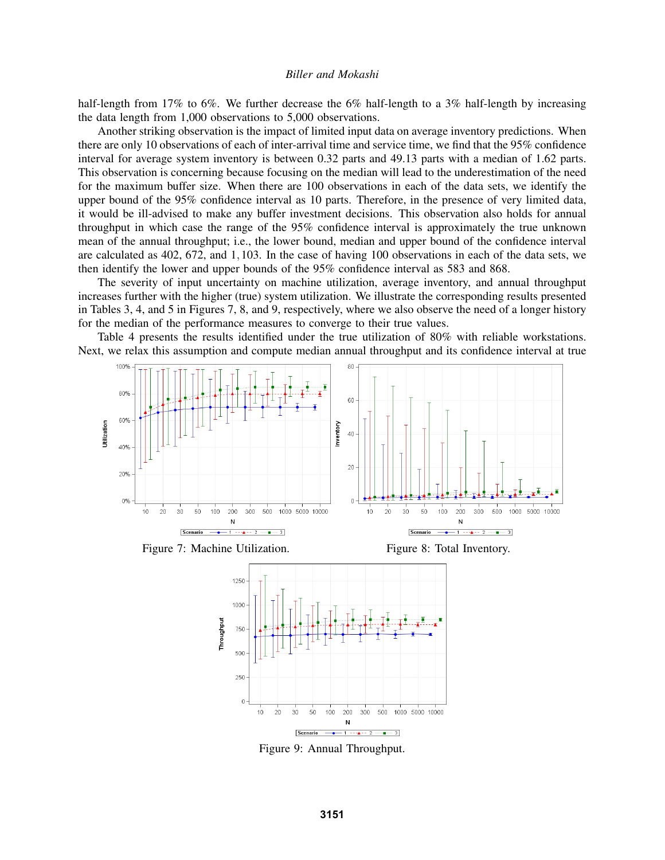half-length from 17% to 6%. We further decrease the 6% half-length to a 3% half-length by increasing the data length from 1,000 observations to 5,000 observations.

Another striking observation is the impact of limited input data on average inventory predictions. When there are only 10 observations of each of inter-arrival time and service time, we find that the 95% confidence interval for average system inventory is between 0.32 parts and 49.13 parts with a median of 1.62 parts. This observation is concerning because focusing on the median will lead to the underestimation of the need for the maximum buffer size. When there are 100 observations in each of the data sets, we identify the upper bound of the 95% confidence interval as 10 parts. Therefore, in the presence of very limited data, it would be ill-advised to make any buffer investment decisions. This observation also holds for annual throughput in which case the range of the 95% confidence interval is approximately the true unknown mean of the annual throughput; i.e., the lower bound, median and upper bound of the confidence interval are calculated as 402, 672, and 1,103. In the case of having 100 observations in each of the data sets, we then identify the lower and upper bounds of the 95% confidence interval as 583 and 868.

The severity of input uncertainty on machine utilization, average inventory, and annual throughput increases further with the higher (true) system utilization. We illustrate the corresponding results presented in Tables 3, 4, and 5 in Figures 7, 8, and 9, respectively, where we also observe the need of a longer history for the median of the performance measures to converge to their true values.

Table 4 presents the results identified under the true utilization of 80% with reliable workstations. Next, we relax this assumption and compute median annual throughput and its confidence interval at true







Figure 9: Annual Throughput.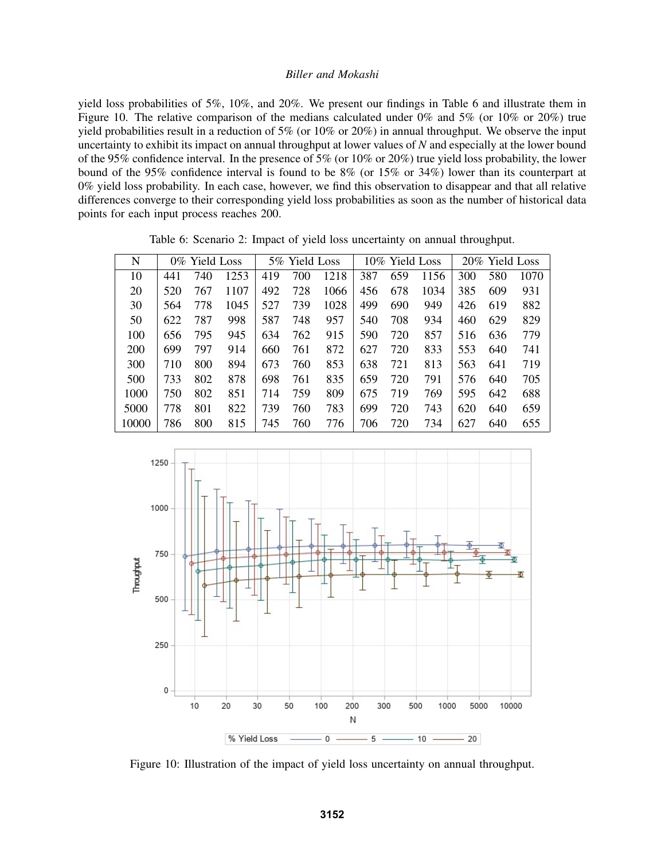yield loss probabilities of 5%, 10%, and 20%. We present our findings in Table 6 and illustrate them in Figure 10. The relative comparison of the medians calculated under 0% and 5% (or 10% or 20%) true yield probabilities result in a reduction of 5% (or 10% or 20%) in annual throughput. We observe the input uncertainty to exhibit its impact on annual throughput at lower values of *N* and especially at the lower bound of the 95% confidence interval. In the presence of 5% (or 10% or 20%) true yield loss probability, the lower bound of the 95% confidence interval is found to be 8% (or 15% or 34%) lower than its counterpart at 0% yield loss probability. In each case, however, we find this observation to disappear and that all relative differences converge to their corresponding yield loss probabilities as soon as the number of historical data points for each input process reaches 200.

| N          | 0% Yield Loss |     |      | 5% Yield Loss |     |      | 10% Yield Loss |     |      |     | 20% Yield Loss |      |
|------------|---------------|-----|------|---------------|-----|------|----------------|-----|------|-----|----------------|------|
| 10         | 441           | 740 | 1253 | 419           | 700 | 1218 | 387            | 659 | 1156 | 300 | 580            | 1070 |
| 20         | 520           | 767 | 1107 | 492           | 728 | 1066 | 456            | 678 | 1034 | 385 | 609            | 931  |
| 30         | 564           | 778 | 1045 | 527           | 739 | 1028 | 499            | 690 | 949  | 426 | 619            | 882  |
| 50         | 622           | 787 | 998  | 587           | 748 | 957  | 540            | 708 | 934  | 460 | 629            | 829  |
| 100        | 656           | 795 | 945  | 634           | 762 | 915  | 590            | 720 | 857  | 516 | 636            | 779  |
| <b>200</b> | 699           | 797 | 914  | 660           | 761 | 872  | 627            | 720 | 833  | 553 | 640            | 741  |
| 300        | 710           | 800 | 894  | 673           | 760 | 853  | 638            | 721 | 813  | 563 | 641            | 719  |
| 500        | 733           | 802 | 878  | 698           | 761 | 835  | 659            | 720 | 791  | 576 | 640            | 705  |
| 1000       | 750           | 802 | 851  | 714           | 759 | 809  | 675            | 719 | 769  | 595 | 642            | 688  |
| 5000       | 778           | 801 | 822  | 739           | 760 | 783  | 699            | 720 | 743  | 620 | 640            | 659  |
| 10000      | 786           | 800 | 815  | 745           | 760 | 776  | 706            | 720 | 734  | 627 | 640            | 655  |

Table 6: Scenario 2: Impact of yield loss uncertainty on annual throughput.



Figure 10: Illustration of the impact of yield loss uncertainty on annual throughput.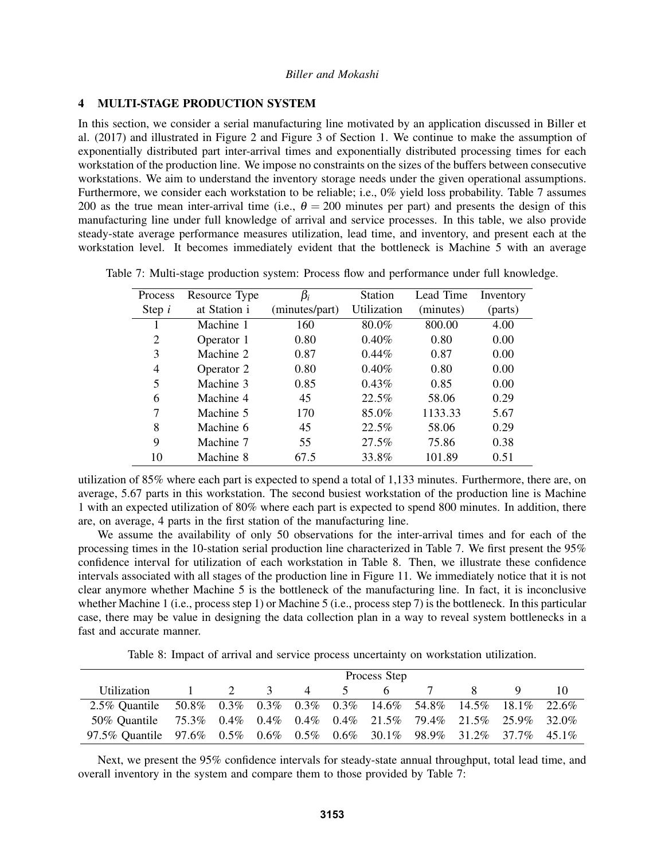### 4 MULTI-STAGE PRODUCTION SYSTEM

In this section, we consider a serial manufacturing line motivated by an application discussed in Biller et al. (2017) and illustrated in Figure 2 and Figure 3 of Section 1. We continue to make the assumption of exponentially distributed part inter-arrival times and exponentially distributed processing times for each workstation of the production line. We impose no constraints on the sizes of the buffers between consecutive workstations. We aim to understand the inventory storage needs under the given operational assumptions. Furthermore, we consider each workstation to be reliable; i.e., 0% yield loss probability. Table 7 assumes 200 as the true mean inter-arrival time (i.e.,  $\theta = 200$  minutes per part) and presents the design of this manufacturing line under full knowledge of arrival and service processes. In this table, we also provide steady-state average performance measures utilization, lead time, and inventory, and present each at the workstation level. It becomes immediately evident that the bottleneck is Machine 5 with an average

| Process        | Resource Type | $\beta_i$      | <b>Station</b> | Lead Time | Inventory |
|----------------|---------------|----------------|----------------|-----------|-----------|
| Step $i$       | at Station i  | (minutes/part) | Utilization    | (minutes) | (parts)   |
|                | Machine 1     | 160            | 80.0%          | 800.00    | 4.00      |
| 2              | Operator 1    | 0.80           | 0.40%          | 0.80      | 0.00      |
| 3              | Machine 2     | 0.87           | $0.44\%$       | 0.87      | 0.00      |
| $\overline{4}$ | Operator 2    | 0.80           | 0.40%          | 0.80      | 0.00      |
| 5              | Machine 3     | 0.85           | $0.43\%$       | 0.85      | 0.00      |
| 6              | Machine 4     | 45             | 22.5%          | 58.06     | 0.29      |
| 7              | Machine 5     | 170            | 85.0%          | 1133.33   | 5.67      |
| 8              | Machine 6     | 45             | 22.5%          | 58.06     | 0.29      |
| 9              | Machine 7     | 55             | 27.5%          | 75.86     | 0.38      |
| 10             | Machine 8     | 67.5           | 33.8%          | 101.89    | 0.51      |

Table 7: Multi-stage production system: Process flow and performance under full knowledge.

utilization of 85% where each part is expected to spend a total of 1,133 minutes. Furthermore, there are, on average, 5.67 parts in this workstation. The second busiest workstation of the production line is Machine 1 with an expected utilization of 80% where each part is expected to spend 800 minutes. In addition, there are, on average, 4 parts in the first station of the manufacturing line.

We assume the availability of only 50 observations for the inter-arrival times and for each of the processing times in the 10-station serial production line characterized in Table 7. We first present the 95% confidence interval for utilization of each workstation in Table 8. Then, we illustrate these confidence intervals associated with all stages of the production line in Figure 11. We immediately notice that it is not clear anymore whether Machine 5 is the bottleneck of the manufacturing line. In fact, it is inconclusive whether Machine 1 (i.e., process step 1) or Machine 5 (i.e., process step 7) is the bottleneck. In this particular case, there may be value in designing the data collection plan in a way to reveal system bottlenecks in a fast and accurate manner.

Table 8: Impact of arrival and service process uncertainty on workstation utilization.

|                                                                        |                          | Process Step |  |       |             |   |                |    |  |    |  |  |  |  |
|------------------------------------------------------------------------|--------------------------|--------------|--|-------|-------------|---|----------------|----|--|----|--|--|--|--|
| Utilization                                                            | <b>Contract Contract</b> |              |  | 2 3 4 | $5^{\circ}$ | 6 | $\overline{7}$ | X. |  | 10 |  |  |  |  |
| 2.5% Quantile 50.8% 0.3% 0.3% 0.3% 0.3% 14.6% 54.8% 14.5% 18.1% 22.6%  |                          |              |  |       |             |   |                |    |  |    |  |  |  |  |
| 50% Quantile 75.3% 0.4% 0.4% 0.4% 0.4% 21.5% 79.4% 21.5% 25.9% 32.0%   |                          |              |  |       |             |   |                |    |  |    |  |  |  |  |
| 97.5% Quantile 97.6% 0.5% 0.6% 0.5% 0.6% 30.1% 98.9% 31.2% 37.7% 45.1% |                          |              |  |       |             |   |                |    |  |    |  |  |  |  |

Next, we present the 95% confidence intervals for steady-state annual throughput, total lead time, and overall inventory in the system and compare them to those provided by Table 7: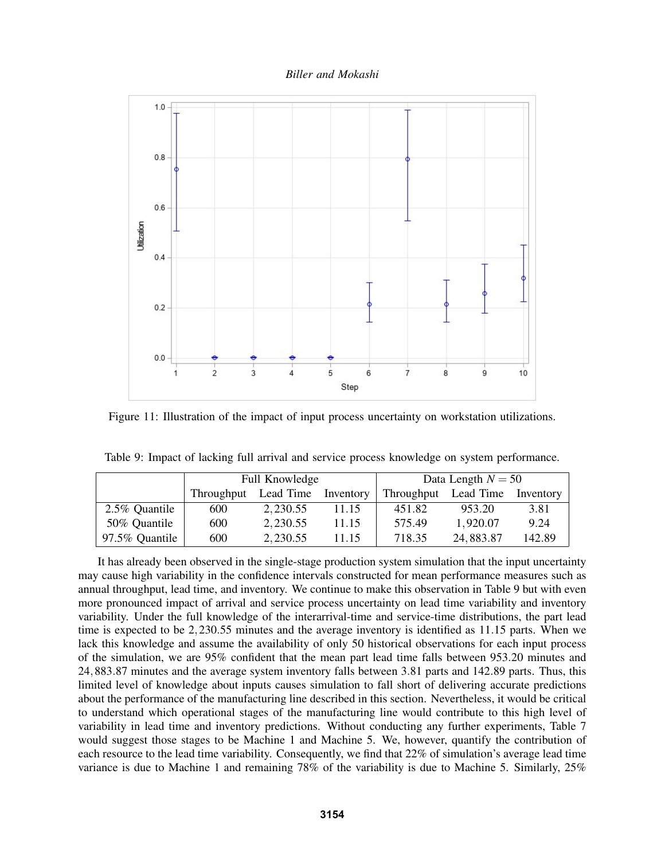*Biller and Mokashi*



Figure 11: Illustration of the impact of input process uncertainty on workstation utilizations.

|                |            | Full Knowledge |           | Data Length $N = 50$ |                     |        |  |
|----------------|------------|----------------|-----------|----------------------|---------------------|--------|--|
|                | Throughput | Lead Time      | Inventory | Throughput           | Lead Time Inventory |        |  |
| 2.5% Quantile  | 600        | 2, 230.55      | 11.15     | 451.82               | 953.20              | 3.81   |  |
| 50% Quantile   | 600        | 2,230.55       | 11.15     | 575.49               | 1,920.07            | 9.24   |  |
| 97.5% Quantile | 600        | 2, 230.55      | 11.15     | 718.35               | 24,883.87           | 142.89 |  |

Table 9: Impact of lacking full arrival and service process knowledge on system performance.

It has already been observed in the single-stage production system simulation that the input uncertainty may cause high variability in the confidence intervals constructed for mean performance measures such as annual throughput, lead time, and inventory. We continue to make this observation in Table 9 but with even more pronounced impact of arrival and service process uncertainty on lead time variability and inventory variability. Under the full knowledge of the interarrival-time and service-time distributions, the part lead time is expected to be 2,230.55 minutes and the average inventory is identified as 11.15 parts. When we lack this knowledge and assume the availability of only 50 historical observations for each input process of the simulation, we are 95% confident that the mean part lead time falls between 953.20 minutes and 24,883.87 minutes and the average system inventory falls between 3.81 parts and 142.89 parts. Thus, this limited level of knowledge about inputs causes simulation to fall short of delivering accurate predictions about the performance of the manufacturing line described in this section. Nevertheless, it would be critical to understand which operational stages of the manufacturing line would contribute to this high level of variability in lead time and inventory predictions. Without conducting any further experiments, Table 7 would suggest those stages to be Machine 1 and Machine 5. We, however, quantify the contribution of each resource to the lead time variability. Consequently, we find that 22% of simulation's average lead time variance is due to Machine 1 and remaining 78% of the variability is due to Machine 5. Similarly, 25%